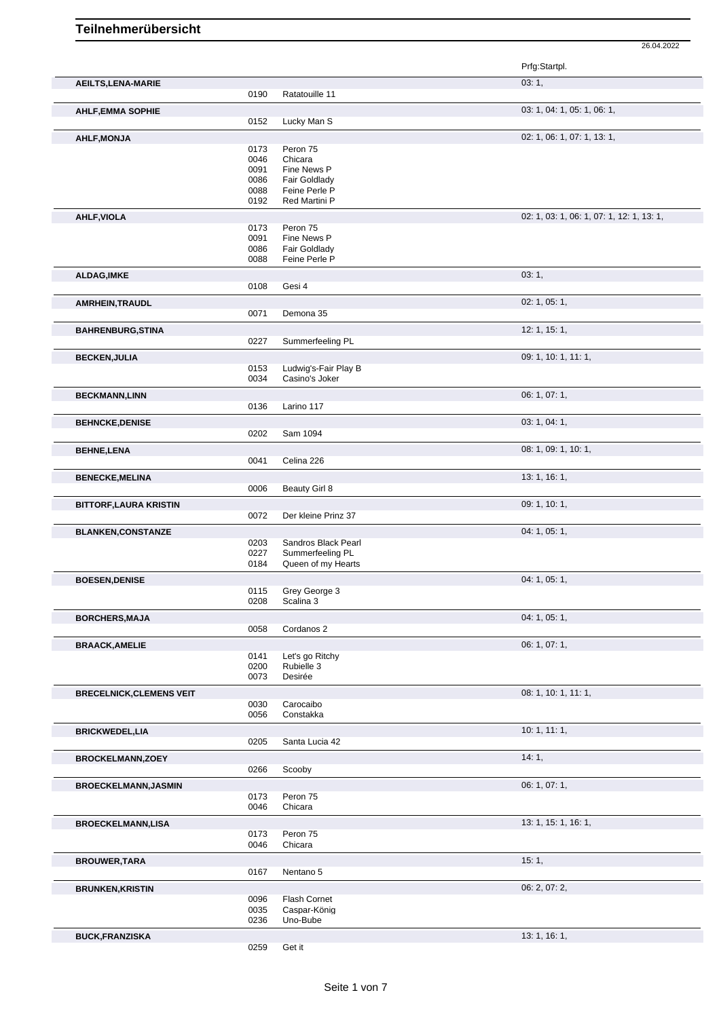|                                 |              |                                        | Prfg:Startpl.                             |
|---------------------------------|--------------|----------------------------------------|-------------------------------------------|
| <b>AEILTS, LENA-MARIE</b>       |              |                                        | 03:1,                                     |
|                                 | 0190         | Ratatouille 11                         |                                           |
| <b>AHLF, EMMA SOPHIE</b>        | 0152         | Lucky Man S                            | 03: 1, 04: 1, 05: 1, 06: 1,               |
| <b>AHLF, MONJA</b>              |              |                                        | 02: 1, 06: 1, 07: 1, 13: 1,               |
|                                 | 0173         | Peron 75                               |                                           |
|                                 | 0046         | Chicara                                |                                           |
|                                 | 0091         | Fine News P                            |                                           |
|                                 | 0086         | Fair Goldlady                          |                                           |
|                                 | 0088<br>0192 | Feine Perle P<br>Red Martini P         |                                           |
|                                 |              |                                        |                                           |
| <b>AHLF, VIOLA</b>              |              |                                        | 02: 1, 03: 1, 06: 1, 07: 1, 12: 1, 13: 1, |
|                                 | 0173<br>0091 | Peron 75<br>Fine News P                |                                           |
|                                 | 0086         | <b>Fair Goldlady</b>                   |                                           |
|                                 | 0088         | Feine Perle P                          |                                           |
| <b>ALDAG, IMKE</b>              |              |                                        | 03:1,                                     |
|                                 | 0108         | Gesi 4                                 |                                           |
| <b>AMRHEIN, TRAUDL</b>          |              |                                        | 02: 1, 05: 1,                             |
|                                 | 0071         | Demona 35                              |                                           |
|                                 |              |                                        | 12: 1, 15: 1,                             |
| <b>BAHRENBURG, STINA</b>        | 0227         | Summerfeeling PL                       |                                           |
|                                 |              |                                        |                                           |
| <b>BECKEN, JULIA</b>            | 0153         | Ludwig's-Fair Play B                   | 09: 1, 10: 1, 11: 1,                      |
|                                 | 0034         | Casino's Joker                         |                                           |
| <b>BECKMANN,LINN</b>            |              |                                        | 06: 1, 07: 1,                             |
|                                 | 0136         | Larino 117                             |                                           |
|                                 |              |                                        |                                           |
| <b>BEHNCKE, DENISE</b>          | 0202         | Sam 1094                               | 03: 1, 04: 1,                             |
|                                 |              |                                        |                                           |
| <b>BEHNE, LENA</b>              | 0041         | Celina 226                             | 08: 1, 09: 1, 10: 1,                      |
|                                 |              |                                        |                                           |
| <b>BENECKE, MELINA</b>          |              |                                        | 13: 1, 16: 1,                             |
|                                 | 0006         | Beauty Girl 8                          |                                           |
| <b>BITTORF, LAURA KRISTIN</b>   |              |                                        | 09: 1, 10: 1,                             |
|                                 | 0072         | Der kleine Prinz 37                    |                                           |
| <b>BLANKEN, CONSTANZE</b>       |              |                                        | 04: 1, 05: 1,                             |
|                                 | 0203         | Sandros Black Pearl                    |                                           |
|                                 | 0227<br>0184 | Summerfeeling PL<br>Queen of my Hearts |                                           |
|                                 |              |                                        | 04: 1, 05: 1,                             |
| <b>BOESEN, DENISE</b>           | 0115         | Grey George 3                          |                                           |
|                                 | 0208         | Scalina 3                              |                                           |
| <b>BORCHERS, MAJA</b>           |              |                                        | 04: 1, 05: 1,                             |
|                                 | 0058         | Cordanos 2                             |                                           |
|                                 |              |                                        | 06: 1, 07: 1,                             |
| <b>BRAACK, AMELIE</b>           | 0141         | Let's go Ritchy                        |                                           |
|                                 | 0200         | Rubielle 3                             |                                           |
|                                 | 0073         | Desirée                                |                                           |
| <b>BRECELNICK, CLEMENS VEIT</b> |              |                                        | 08: 1, 10: 1, 11: 1,                      |
|                                 | 0030         | Carocaibo                              |                                           |
|                                 | 0056         | Constakka                              |                                           |
| <b>BRICKWEDEL,LIA</b>           |              |                                        | 10:1, 11:1,                               |
|                                 | 0205         | Santa Lucia 42                         |                                           |
| <b>BROCKELMANN,ZOEY</b>         |              |                                        | 14:1,                                     |
|                                 | 0266         | Scooby                                 |                                           |
| <b>BROECKELMANN, JASMIN</b>     |              |                                        | 06: 1, 07: 1,                             |
|                                 | 0173         | Peron 75                               |                                           |
|                                 | 0046         | Chicara                                |                                           |
| <b>BROECKELMANN,LISA</b>        |              |                                        | 13: 1, 15: 1, 16: 1,                      |
|                                 | 0173         | Peron 75                               |                                           |
|                                 | 0046         | Chicara                                |                                           |
| <b>BROUWER, TARA</b>            |              |                                        | 15:1,                                     |
|                                 | 0167         | Nentano 5                              |                                           |
| <b>BRUNKEN, KRISTIN</b>         |              |                                        | 06: 2, 07: 2,                             |
|                                 | 0096         | Flash Cornet                           |                                           |
|                                 | 0035<br>0236 | Caspar-König<br>Uno-Bube               |                                           |
|                                 |              |                                        |                                           |
| <b>BUCK, FRANZISKA</b>          |              |                                        | 13: 1, 16: 1,                             |
|                                 | 0259         | Get it                                 |                                           |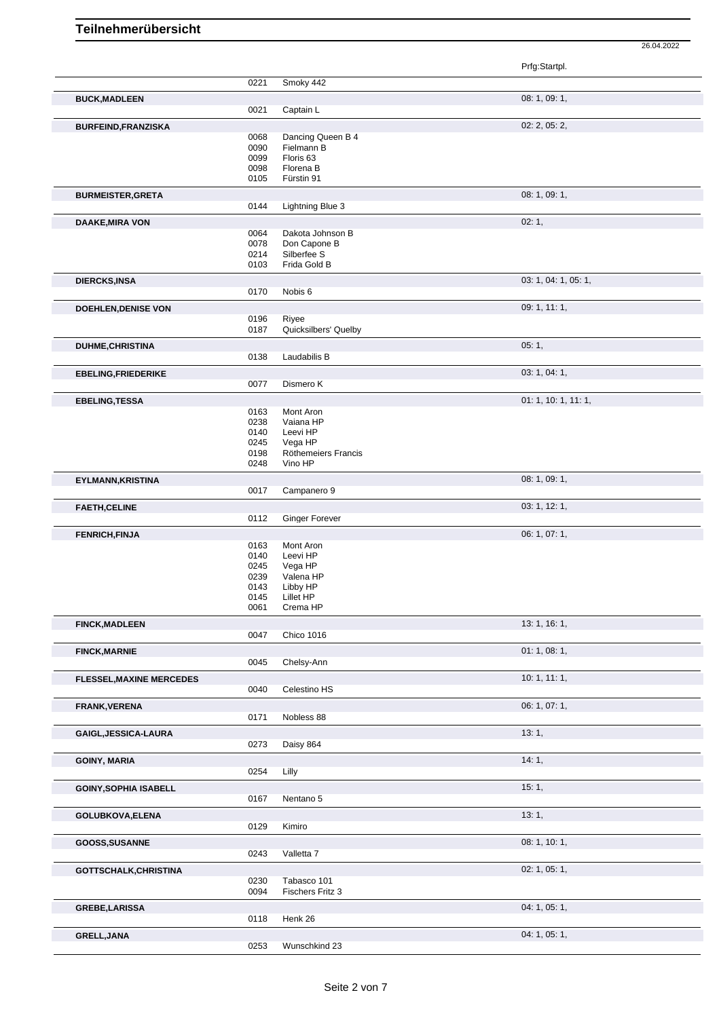|                                 |              |                                | Prfg:Startpl.        |
|---------------------------------|--------------|--------------------------------|----------------------|
|                                 | 0221         | Smoky 442                      |                      |
|                                 |              |                                | 08: 1, 09: 1,        |
| <b>BUCK, MADLEEN</b>            | 0021         | Captain L                      |                      |
|                                 |              |                                |                      |
| <b>BURFEIND, FRANZISKA</b>      | 0068         | Dancing Queen B 4              | 02: 2, 05: 2,        |
|                                 | 0090         | Fielmann B                     |                      |
|                                 | 0099         | Floris <sub>63</sub>           |                      |
|                                 | 0098         | Florena B                      |                      |
|                                 | 0105         | Fürstin 91                     |                      |
| <b>BURMEISTER, GRETA</b>        |              |                                | 08: 1, 09: 1,        |
|                                 | 0144         | Lightning Blue 3               |                      |
| <b>DAAKE, MIRA VON</b>          |              |                                | 02:1,                |
|                                 | 0064         | Dakota Johnson B               |                      |
|                                 | 0078<br>0214 | Don Capone B<br>Silberfee S    |                      |
|                                 | 0103         | Frida Gold B                   |                      |
| <b>DIERCKS,INSA</b>             |              |                                | 03: 1, 04: 1, 05: 1, |
|                                 | 0170         | Nobis 6                        |                      |
| <b>DOEHLEN, DENISE VON</b>      |              |                                | 09: 1, 11: 1,        |
|                                 | 0196         | Riyee                          |                      |
|                                 | 0187         | Quicksilbers' Quelby           |                      |
| <b>DUHME, CHRISTINA</b>         |              |                                | 05:1,                |
|                                 | 0138         | Laudabilis B                   |                      |
| <b>EBELING, FRIEDERIKE</b>      |              |                                | 03: 1, 04: 1,        |
|                                 | 0077         | Dismero K                      |                      |
| <b>EBELING, TESSA</b>           |              |                                | 01: 1, 10: 1, 11: 1, |
|                                 | 0163         | Mont Aron                      |                      |
|                                 | 0238         | Vaiana HP                      |                      |
|                                 | 0140         | Leevi HP                       |                      |
|                                 | 0245         | Vega HP                        |                      |
|                                 | 0198<br>0248 | Röthemeiers Francis<br>Vino HP |                      |
|                                 |              |                                |                      |
| <b>EYLMANN, KRISTINA</b>        | 0017         | Campanero 9                    | 08: 1, 09: 1,        |
|                                 |              |                                |                      |
| <b>FAETH, CELINE</b>            | 0112         | <b>Ginger Forever</b>          | 03: 1, 12: 1,        |
|                                 |              |                                | 06: 1, 07: 1,        |
| <b>FENRICH, FINJA</b>           | 0163         | Mont Aron                      |                      |
|                                 | 0140         | Leevi HP                       |                      |
|                                 | 0245         | Vega HP                        |                      |
|                                 | 0239         | Valena HP                      |                      |
|                                 | 0143<br>0145 | Libby HP<br>Lillet HP          |                      |
|                                 | 0061         | Crema HP                       |                      |
| <b>FINCK, MADLEEN</b>           |              |                                | 13: 1, 16: 1,        |
|                                 | 0047         | Chico 1016                     |                      |
| <b>FINCK, MARNIE</b>            |              |                                | 01: 1, 08: 1,        |
|                                 | 0045         | Chelsy-Ann                     |                      |
| <b>FLESSEL, MAXINE MERCEDES</b> |              |                                | 10: 1, 11: 1,        |
|                                 | 0040         | Celestino HS                   |                      |
| FRANK, VERENA                   |              |                                | 06: 1, 07: 1,        |
|                                 | 0171         | Nobless 88                     |                      |
| GAIGL, JESSICA-LAURA            |              |                                | 13:1,                |
|                                 | 0273         | Daisy 864                      |                      |
| <b>GOINY, MARIA</b>             |              |                                | 14:1,                |
|                                 | 0254         | Lilly                          |                      |
| <b>GOINY, SOPHIA ISABELL</b>    |              |                                | 15:1,                |
|                                 | 0167         | Nentano 5                      |                      |
| GOLUBKOVA, ELENA                |              |                                | 13:1,                |
|                                 | 0129         | Kimiro                         |                      |
| GOOSS, SUSANNE                  |              |                                | 08: 1, 10: 1,        |
|                                 | 0243         | Valletta 7                     |                      |
|                                 |              |                                | 02: 1, 05: 1,        |
| GOTTSCHALK, CHRISTINA           | 0230         | Tabasco 101                    |                      |
|                                 | 0094         | Fischers Fritz 3               |                      |
| GREBE, LARISSA                  |              |                                | 04: 1, 05: 1,        |
|                                 | 0118         | Henk 26                        |                      |
| <b>GRELL, JANA</b>              |              |                                | 04: 1, 05: 1,        |
|                                 | 0253         | Wunschkind 23                  |                      |
|                                 |              |                                |                      |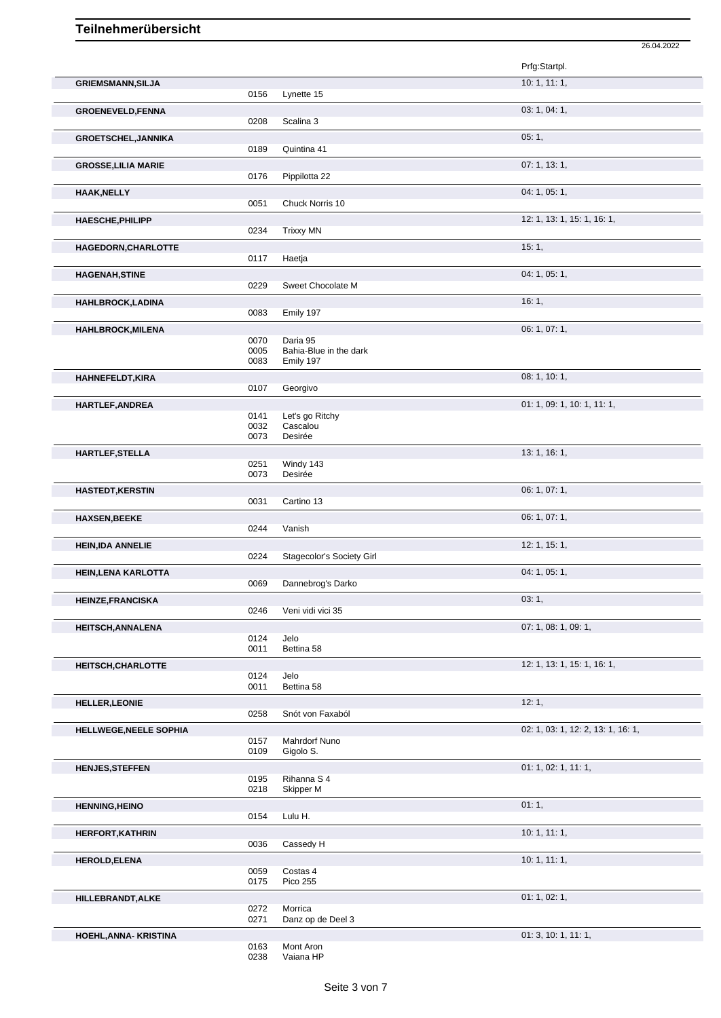|                            |              |                                     | 26.04.2022                         |
|----------------------------|--------------|-------------------------------------|------------------------------------|
|                            |              |                                     | Prfg:Startpl.                      |
| <b>GRIEMSMANN, SILJA</b>   |              |                                     | 10: 1, 11: 1,                      |
|                            | 0156         | Lynette 15                          |                                    |
| <b>GROENEVELD, FENNA</b>   |              |                                     | 03: 1, 04: 1,                      |
|                            | 0208         | Scalina 3                           |                                    |
| <b>GROETSCHEL, JANNIKA</b> | 0189         | Quintina 41                         | 05:1,                              |
| <b>GROSSE, LILIA MARIE</b> |              |                                     | 07: 1, 13: 1,                      |
|                            | 0176         | Pippilotta 22                       |                                    |
| <b>HAAK, NELLY</b>         |              |                                     | 04: 1, 05: 1,                      |
|                            | 0051         | Chuck Norris 10                     |                                    |
| <b>HAESCHE, PHILIPP</b>    | 0234         | <b>Trixxy MN</b>                    | 12: 1, 13: 1, 15: 1, 16: 1,        |
| HAGEDORN, CHARLOTTE        |              |                                     | 15:1,                              |
|                            | 0117         | Haetja                              |                                    |
| <b>HAGENAH, STINE</b>      |              |                                     | 04: 1, 05: 1,                      |
|                            | 0229         | Sweet Chocolate M                   |                                    |
| <b>HAHLBROCK,LADINA</b>    | 0083         | Emily 197                           | 16:1,                              |
| <b>HAHLBROCK, MILENA</b>   |              |                                     | 06: 1, 07: 1,                      |
|                            | 0070         | Daria 95                            |                                    |
|                            | 0005<br>0083 | Bahia-Blue in the dark<br>Emily 197 |                                    |
| HAHNEFELDT, KIRA           |              |                                     | 08: 1, 10: 1,                      |
|                            | 0107         | Georgivo                            |                                    |
| HARTLEF, ANDREA            |              |                                     | 01: 1, 09: 1, 10: 1, 11: 1,        |
|                            | 0141<br>0032 | Let's go Ritchy<br>Cascalou         |                                    |
|                            | 0073         | Desirée                             |                                    |
| HARTLEF, STELLA            |              | Windy 143                           | 13: 1, 16: 1,                      |
|                            | 0251<br>0073 | Desirée                             |                                    |
| <b>HASTEDT, KERSTIN</b>    |              |                                     | 06: 1, 07: 1,                      |
|                            | 0031         | Cartino 13                          |                                    |
| <b>HAXSEN, BEEKE</b>       | 0244         | Vanish                              | 06: 1, 07: 1,                      |
| <b>HEIN, IDA ANNELIE</b>   |              |                                     | 12: 1, 15: 1,                      |
|                            | 0224         | Stagecolor's Society Girl           |                                    |
| <b>HEIN, LENA KARLOTTA</b> |              |                                     | 04: 1, 05: 1,                      |
|                            | 0069         | Dannebrog's Darko                   |                                    |
| <b>HEINZE, FRANCISKA</b>   | 0246         | Veni vidi vici 35                   | 03:1,                              |
| <b>HEITSCH, ANNALENA</b>   |              |                                     | 07: 1, 08: 1, 09: 1,               |
|                            | 0124         | Jelo                                |                                    |
|                            | 0011         | Bettina 58                          |                                    |
| HEITSCH, CHARLOTTE         | 0124         | Jelo                                | 12: 1, 13: 1, 15: 1, 16: 1,        |
|                            | 0011         | Bettina 58                          |                                    |
| <b>HELLER, LEONIE</b>      |              |                                     | 12:1,                              |
|                            | 0258         | Snót von Faxaból                    | 02: 1, 03: 1, 12: 2, 13: 1, 16: 1, |
| HELLWEGE, NEELE SOPHIA     | 0157         | Mahrdorf Nuno                       |                                    |
|                            | 0109         | Gigolo S.                           |                                    |
| <b>HENJES, STEFFEN</b>     | 0195         | Rihanna S 4                         | 01: 1, 02: 1, 11: 1,               |
|                            | 0218         | Skipper M                           |                                    |
| <b>HENNING, HEINO</b>      |              |                                     | 01:1,                              |
|                            | 0154         | Lulu H.                             |                                    |
| <b>HERFORT, KATHRIN</b>    | 0036         | Cassedy H                           | 10: 1, 11: 1,                      |
| <b>HEROLD, ELENA</b>       |              |                                     | 10: 1, 11: 1,                      |
|                            | 0059         | Costas 4                            |                                    |
|                            | 0175         | Pico 255                            |                                    |
| HILLEBRANDT, ALKE          | 0272         | Morrica                             | 01: 1, 02: 1,                      |
|                            | 0271         | Danz op de Deel 3                   |                                    |
| HOEHL, ANNA-KRISTINA       |              |                                     | 01:3, 10:1, 11:1,                  |
|                            | 0163<br>0238 | Mont Aron<br>Vaiana HP              |                                    |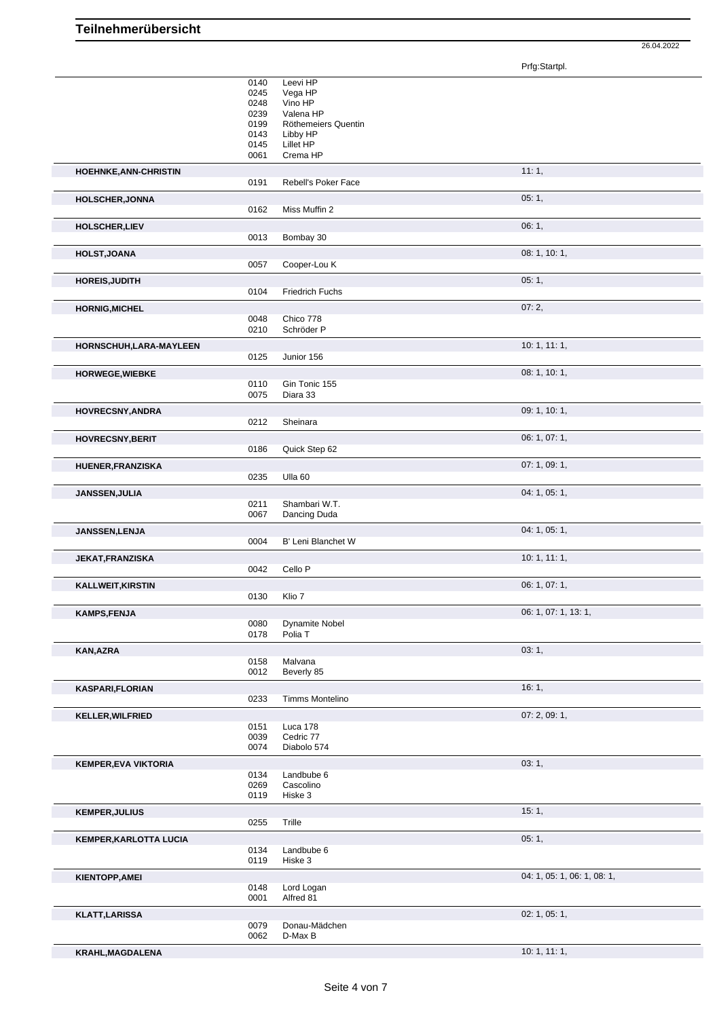Prfg:Startpl.

|                               | 0140         | Leevi HP                 |                             |
|-------------------------------|--------------|--------------------------|-----------------------------|
|                               | 0245         | Vega HP                  |                             |
|                               | 0248         | Vino HP                  |                             |
|                               | 0239         | Valena HP                |                             |
|                               | 0199         | Röthemeiers Quentin      |                             |
|                               | 0143<br>0145 | Libby HP<br>Lillet HP    |                             |
|                               | 0061         | Crema HP                 |                             |
|                               |              |                          | 11:1,                       |
| <b>HOEHNKE, ANN-CHRISTIN</b>  | 0191         | Rebell's Poker Face      |                             |
|                               |              |                          |                             |
| <b>HOLSCHER, JONNA</b>        |              |                          | 05:1,                       |
|                               | 0162         | Miss Muffin 2            |                             |
| <b>HOLSCHER,LIEV</b>          |              |                          | 06:1,                       |
|                               | 0013         | Bombay 30                |                             |
| <b>HOLST, JOANA</b>           |              |                          | 08: 1, 10: 1,               |
|                               | 0057         | Cooper-Lou K             |                             |
| <b>HOREIS, JUDITH</b>         |              |                          | 05:1,                       |
|                               | 0104         | Friedrich Fuchs          |                             |
|                               |              |                          | 07:2,                       |
| <b>HORNIG, MICHEL</b>         | 0048         | Chico 778                |                             |
|                               | 0210         | Schröder P               |                             |
| HORNSCHUH,LARA-MAYLEEN        |              |                          | 10:1, 11:1,                 |
|                               | 0125         | Junior 156               |                             |
|                               |              |                          |                             |
| <b>HORWEGE, WIEBKE</b>        |              | Gin Tonic 155            | 08: 1, 10: 1,               |
|                               | 0110<br>0075 | Diara 33                 |                             |
|                               |              |                          |                             |
| HOVRECSNY, ANDRA              | 0212         | Sheinara                 | 09: 1, 10: 1,               |
|                               |              |                          |                             |
| <b>HOVRECSNY, BERIT</b>       |              |                          | 06: 1, 07: 1,               |
|                               | 0186         | Quick Step 62            |                             |
| HUENER, FRANZISKA             |              |                          | 07: 1, 09: 1,               |
|                               | 0235         | Ulla <sub>60</sub>       |                             |
| JANSSEN, JULIA                |              |                          | 04: 1, 05: 1,               |
|                               | 0211         | Shambari W.T.            |                             |
|                               | 0067         | Dancing Duda             |                             |
| JANSSEN, LENJA                |              |                          | 04: 1, 05: 1,               |
|                               | 0004         | B' Leni Blanchet W       |                             |
| JEKAT, FRANZISKA              |              |                          | 10:1, 11:1,                 |
|                               | 0042         | Cello P                  |                             |
| <b>KALLWEIT, KIRSTIN</b>      |              |                          | 06: 1, 07: 1,               |
|                               | 0130         | Klio 7                   |                             |
|                               |              |                          | 06: 1, 07: 1, 13: 1,        |
| <b>KAMPS,FENJA</b>            | 0080         | <b>Dynamite Nobel</b>    |                             |
|                               | 0178         | Polia T                  |                             |
|                               |              |                          |                             |
| KAN, AZRA                     | 0158         | Malvana                  | 03: 1,                      |
|                               | 0012         | Beverly 85               |                             |
|                               |              |                          | 16:1,                       |
| <b>KASPARI,FLORIAN</b>        | 0233         | Timms Montelino          |                             |
|                               |              |                          |                             |
| KELLER, WILFRIED              |              |                          | 07:2,09:1,                  |
|                               | 0151<br>0039 | Luca 178<br>Cedric 77    |                             |
|                               | 0074         | Diabolo 574              |                             |
|                               |              |                          |                             |
| <b>KEMPER, EVA VIKTORIA</b>   | 0134         | Landbube 6               | 03:1,                       |
|                               | 0269         | Cascolino                |                             |
|                               | 0119         | Hiske 3                  |                             |
| <b>KEMPER, JULIUS</b>         |              |                          | 15:1,                       |
|                               | 0255         | Trille                   |                             |
|                               |              |                          |                             |
| <b>KEMPER, KARLOTTA LUCIA</b> |              |                          | 05:1,                       |
|                               | 0134<br>0119 | Landbube 6<br>Hiske 3    |                             |
|                               |              |                          |                             |
| <b>KIENTOPP, AMEI</b>         |              |                          | 04: 1, 05: 1, 06: 1, 08: 1, |
|                               | 0148<br>0001 | Lord Logan<br>Alfred 81  |                             |
|                               |              |                          |                             |
| <b>KLATT, LARISSA</b>         |              |                          | 02: 1, 05: 1,               |
|                               | 0079<br>0062 | Donau-Mädchen<br>D-Max B |                             |
|                               |              |                          |                             |
| KRAHL, MAGDALENA              |              |                          | 10: 1, 11: 1,               |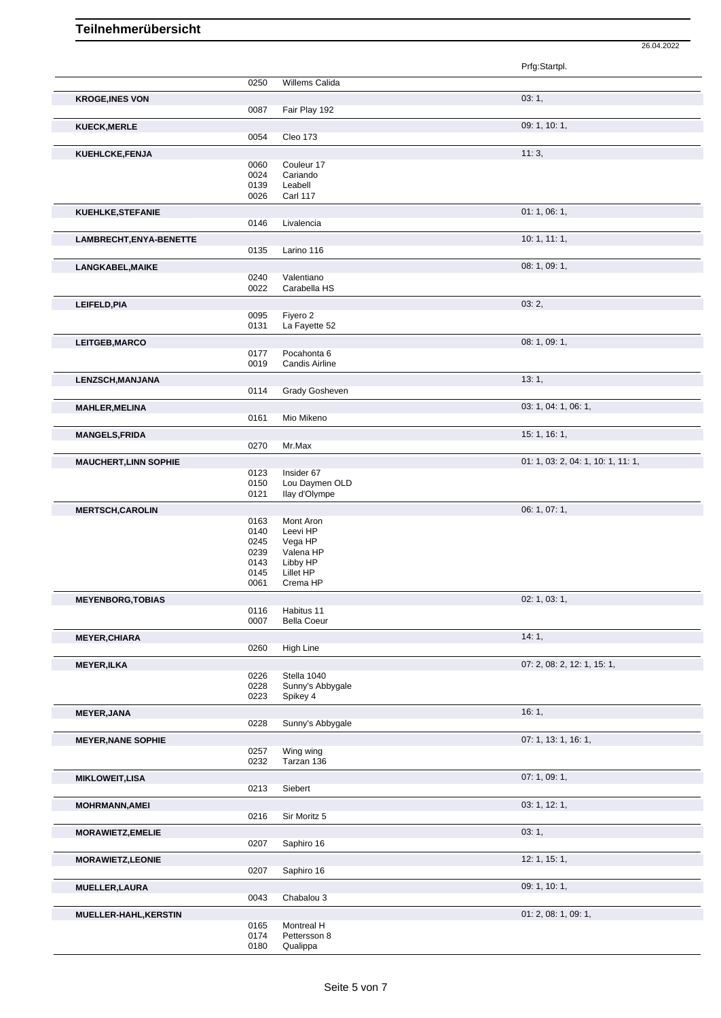|                              |              |                                 | Prfg:Startpl.                      |
|------------------------------|--------------|---------------------------------|------------------------------------|
|                              |              |                                 |                                    |
|                              | 0250         | Willems Calida                  |                                    |
| <b>KROGE, INES VON</b>       |              |                                 | 03:1,                              |
|                              | 0087         | Fair Play 192                   |                                    |
| <b>KUECK, MERLE</b>          |              |                                 | 09: 1, 10: 1,                      |
|                              | 0054         | Cleo 173                        |                                    |
| <b>KUEHLCKE,FENJA</b>        |              |                                 | 11:3,                              |
|                              | 0060         | Couleur 17                      |                                    |
|                              | 0024         | Cariando                        |                                    |
|                              | 0139         | Leabell                         |                                    |
|                              | 0026         | <b>Carl 117</b>                 |                                    |
| KUEHLKE, STEFANIE            |              |                                 | 01:1,06:1,                         |
|                              | 0146         | Livalencia                      |                                    |
|                              |              |                                 | 10:1, 11:1,                        |
| LAMBRECHT, ENYA-BENETTE      | 0135         | Larino 116                      |                                    |
|                              |              |                                 |                                    |
| LANGKABEL, MAIKE             |              |                                 | 08: 1, 09: 1,                      |
|                              | 0240<br>0022 | Valentiano                      |                                    |
|                              |              | Carabella HS                    |                                    |
| LEIFELD, PIA                 |              |                                 | 03:2,                              |
|                              | 0095         | Fiyero 2                        |                                    |
|                              | 0131         | La Fayette 52                   |                                    |
| LEITGEB, MARCO               |              |                                 | 08: 1, 09: 1,                      |
|                              | 0177         | Pocahonta 6                     |                                    |
|                              | 0019         | Candis Airline                  |                                    |
| LENZSCH, MANJANA             |              |                                 | 13:1,                              |
|                              | 0114         | Grady Gosheven                  |                                    |
| <b>MAHLER, MELINA</b>        |              |                                 | 03: 1, 04: 1, 06: 1,               |
|                              | 0161         | Mio Mikeno                      |                                    |
|                              |              |                                 |                                    |
| <b>MANGELS, FRIDA</b>        | 0270         | Mr.Max                          | 15: 1, 16: 1,                      |
|                              |              |                                 |                                    |
| <b>MAUCHERT, LINN SOPHIE</b> |              |                                 | 01: 1, 03: 2, 04: 1, 10: 1, 11: 1, |
|                              | 0123         | Insider 67                      |                                    |
|                              | 0150<br>0121 | Lou Daymen OLD<br>llay d'Olympe |                                    |
|                              |              |                                 |                                    |
| <b>MERTSCH,CAROLIN</b>       |              |                                 | 06: 1, 07: 1,                      |
|                              | 0163<br>0140 | Mont Aron<br>Leevi HP           |                                    |
|                              | 0245         | Vega HP                         |                                    |
|                              | 0239         | Valena HP                       |                                    |
|                              | 0143         | Libby HP                        |                                    |
|                              | 0145         | Lillet HP                       |                                    |
|                              | 0061         | Crema HP                        |                                    |
| <b>MEYENBORG, TOBIAS</b>     |              |                                 | 02: 1, 03: 1,                      |
|                              | 0116         | Habitus 11                      |                                    |
|                              | 0007         | <b>Bella Coeur</b>              |                                    |
| <b>MEYER, CHIARA</b>         |              |                                 | 14:1,                              |
|                              | 0260         | High Line                       |                                    |
| <b>MEYER, ILKA</b>           |              |                                 | 07: 2, 08: 2, 12: 1, 15: 1,        |
|                              | 0226         | Stella 1040                     |                                    |
|                              | 0228         | Sunny's Abbygale                |                                    |
|                              | 0223         | Spikey 4                        |                                    |
| <b>MEYER, JANA</b>           |              |                                 | 16:1,                              |
|                              | 0228         | Sunny's Abbygale                |                                    |
|                              |              |                                 |                                    |
| <b>MEYER, NANE SOPHIE</b>    |              |                                 | 07: 1, 13: 1, 16: 1,               |
|                              | 0257<br>0232 | Wing wing<br>Tarzan 136         |                                    |
|                              |              |                                 |                                    |
| <b>MIKLOWEIT, LISA</b>       |              |                                 | 07: 1, 09: 1,                      |
|                              | 0213         | Siebert                         |                                    |
| <b>MOHRMANN, AMEI</b>        |              |                                 | 03: 1, 12: 1,                      |
|                              | 0216         | Sir Moritz 5                    |                                    |
| <b>MORAWIETZ, EMELIE</b>     |              |                                 | 03:1,                              |
|                              | 0207         | Saphiro 16                      |                                    |
|                              |              |                                 |                                    |
| <b>MORAWIETZ,LEONIE</b>      |              |                                 | 12: 1, 15: 1,                      |
|                              | 0207         | Saphiro 16                      |                                    |
| <b>MUELLER, LAURA</b>        |              |                                 | 09: 1, 10: 1,                      |
|                              | 0043         | Chabalou 3                      |                                    |
| MUELLER-HAHL, KERSTIN        |              |                                 | 01: 2, 08: 1, 09: 1,               |
|                              | 0165         | Montreal H                      |                                    |
|                              | 0174         | Pettersson 8                    |                                    |
|                              | 0180         | Qualippa                        |                                    |

26.04.2022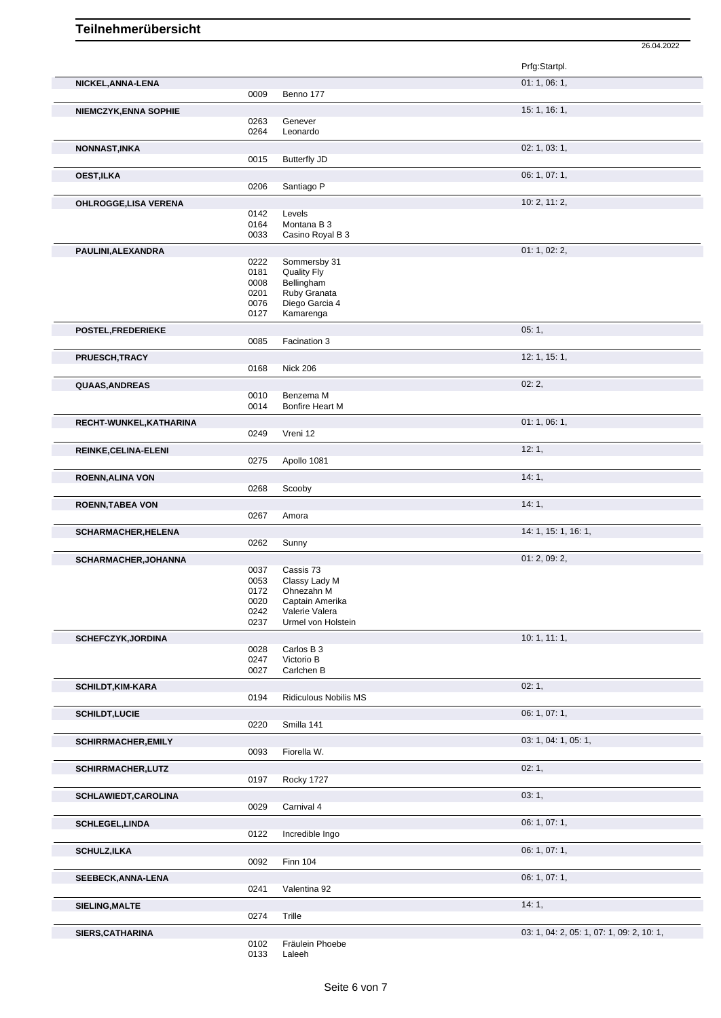|                              |              |                                     | Prfg:Startpl.        |
|------------------------------|--------------|-------------------------------------|----------------------|
| NICKEL, ANNA-LENA            |              |                                     | 01:1,06:1,           |
|                              | 0009         | Benno 177                           |                      |
| <b>NIEMCZYK, ENNA SOPHIE</b> |              |                                     | 15: 1, 16: 1,        |
|                              | 0263         | Genever                             |                      |
|                              | 0264         | Leonardo                            |                      |
| <b>NONNAST, INKA</b>         |              |                                     | 02: 1, 03: 1,        |
|                              | 0015         | <b>Butterfly JD</b>                 |                      |
| <b>OEST,ILKA</b>             |              |                                     | 06: 1, 07: 1,        |
|                              | 0206         | Santiago P                          |                      |
| OHLROGGE, LISA VERENA        |              |                                     | 10: 2, 11: 2,        |
|                              | 0142         | Levels                              |                      |
|                              | 0164<br>0033 | Montana B 3<br>Casino Royal B 3     |                      |
|                              |              |                                     |                      |
| PAULINI, ALEXANDRA           | 0222         | Sommersby 31                        | 01: 1, 02: 2,        |
|                              | 0181         | Quality Fly                         |                      |
|                              | 0008         | Bellingham                          |                      |
|                              | 0201         | Ruby Granata                        |                      |
|                              | 0076<br>0127 | Diego Garcia 4<br>Kamarenga         |                      |
|                              |              |                                     |                      |
| POSTEL, FREDERIEKE           | 0085         | Facination 3                        | 05:1,                |
|                              |              |                                     |                      |
| PRUESCH, TRACY               | 0168         | <b>Nick 206</b>                     | 12: 1, 15: 1,        |
|                              |              |                                     |                      |
| QUAAS, ANDREAS               |              |                                     | 02:2,                |
|                              | 0010<br>0014 | Benzema M<br><b>Bonfire Heart M</b> |                      |
|                              |              |                                     | 01:1,06:1,           |
| RECHT-WUNKEL, KATHARINA      | 0249         | Vreni 12                            |                      |
|                              |              |                                     | 12:1,                |
| REINKE, CELINA-ELENI         | 0275         | Apollo 1081                         |                      |
|                              |              |                                     | 14:1,                |
| <b>ROENN, ALINA VON</b>      | 0268         | Scooby                              |                      |
|                              |              |                                     | 14:1,                |
| <b>ROENN, TABEA VON</b>      | 0267         | Amora                               |                      |
| <b>SCHARMACHER, HELENA</b>   |              |                                     | 14: 1, 15: 1, 16: 1, |
|                              | 0262         | Sunny                               |                      |
| SCHARMACHER, JOHANNA         |              |                                     | 01: 2, 09: 2,        |
|                              | 0037         | Cassis 73                           |                      |
|                              | 0053         | Classy Lady M                       |                      |
|                              | 0172<br>0020 | Ohnezahn M<br>Captain Amerika       |                      |
|                              | 0242         | Valerie Valera                      |                      |
|                              | 0237         | Urmel von Holstein                  |                      |
| SCHEFCZYK, JORDINA           |              |                                     | 10:1, 11:1,          |
|                              | 0028         | Carlos B 3                          |                      |
|                              | 0247<br>0027 | Victorio B<br>Carlchen B            |                      |
|                              |              |                                     |                      |
| <b>SCHILDT,KIM-KARA</b>      |              |                                     | 02:1,                |
|                              | 0194         | <b>Ridiculous Nobilis MS</b>        |                      |
| <b>SCHILDT,LUCIE</b>         |              |                                     | 06: 1, 07: 1,        |
|                              | 0220         | Smilla 141                          |                      |
| <b>SCHIRRMACHER, EMILY</b>   |              |                                     | 03: 1, 04: 1, 05: 1, |
|                              | 0093         | Fiorella W.                         |                      |
| SCHIRRMACHER, LUTZ           |              |                                     | 02:1,                |
|                              | 0197         | Rocky 1727                          |                      |
| SCHLAWIEDT, CAROLINA         |              |                                     | 03:1,                |
|                              | 0029         | Carnival 4                          |                      |
| <b>SCHLEGEL, LINDA</b>       |              |                                     | 06: 1, 07: 1,        |
|                              | 0122         | Incredible Ingo                     |                      |
| <b>SCHULZ, ILKA</b>          |              |                                     | 06: 1, 07: 1,        |
|                              | 0092         | <b>Finn 104</b>                     |                      |
| SEEBECK, ANNA-LENA           |              |                                     | 06: 1, 07: 1,        |
|                              | 0241         | Valentina 92                        |                      |
| SIELING, MALTE               |              | Trille                              | 14:1,                |
|                              | 0274         |                                     |                      |

0102 Fräulein Phoebe 0133 Laleeh

**SIERS,CATHARINA** 0102 Fräulein Phoebe 0133 Laleeh 0133 Laleeh 03: 1, 04: 2, 05: 1, 07: 1, 09: 2, 10: 1,